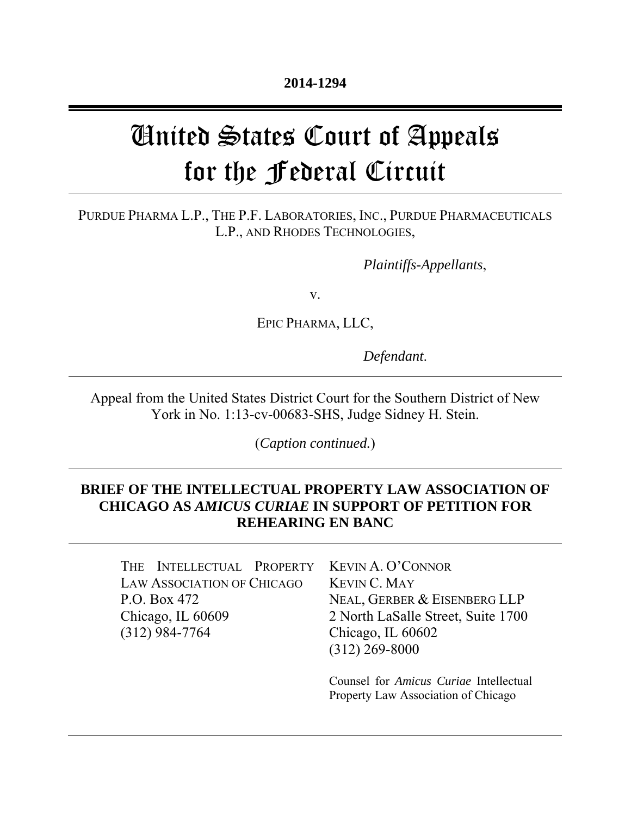# United States Court of Appeals for the Federal Circuit

### PURDUE PHARMA L.P., THE P.F. LABORATORIES, INC., PURDUE PHARMACEUTICALS L.P., AND RHODES TECHNOLOGIES,

*Plaintiffs-Appellants*,

v.

EPIC PHARMA, LLC,

*Defendant*.

Appeal from the United States District Court for the Southern District of New York in No. 1:13-cv-00683-SHS, Judge Sidney H. Stein.

(*Caption continued.*)

# **BRIEF OF THE INTELLECTUAL PROPERTY LAW ASSOCIATION OF CHICAGO AS** *AMICUS CURIAE* **IN SUPPORT OF PETITION FOR REHEARING EN BANC**

THE INTELLECTUAL PROPERTY LAW ASSOCIATION OF CHICAGO P.O. Box 472 Chicago, IL 60609 (312) 984-7764

KEVIN A. O'CONNOR KEVIN C. MAY NEAL, GERBER & EISENBERG LLP 2 North LaSalle Street, Suite 1700 Chicago, IL 60602 (312) 269-8000

Counsel for *Amicus Curiae* Intellectual Property Law Association of Chicago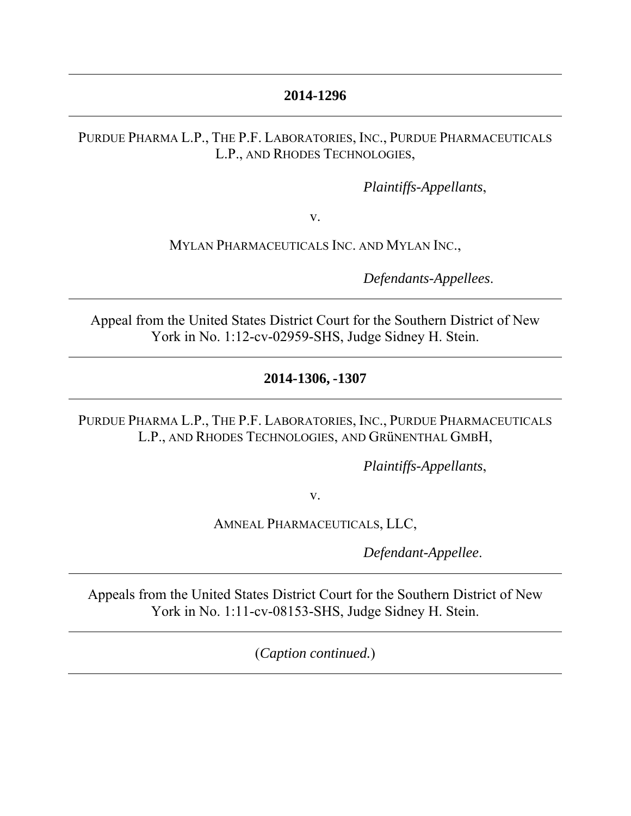# **2014-1296**

### PURDUE PHARMA L.P., THE P.F. LABORATORIES, INC., PURDUE PHARMACEUTICALS L.P., AND RHODES TECHNOLOGIES,

*Plaintiffs-Appellants*,

v.

MYLAN PHARMACEUTICALS INC. AND MYLAN INC.,

*Defendants-Appellees*.

Appeal from the United States District Court for the Southern District of New York in No. 1:12-cv-02959-SHS, Judge Sidney H. Stein.

# **2014-1306, -1307**

PURDUE PHARMA L.P., THE P.F. LABORATORIES, INC., PURDUE PHARMACEUTICALS L.P., AND RHODES TECHNOLOGIES, AND GRüNENTHAL GMBH,

*Plaintiffs-Appellants*,

v.

AMNEAL PHARMACEUTICALS, LLC,

*Defendant-Appellee*.

Appeals from the United States District Court for the Southern District of New York in No. 1:11-cv-08153-SHS, Judge Sidney H. Stein.

(*Caption continued.*)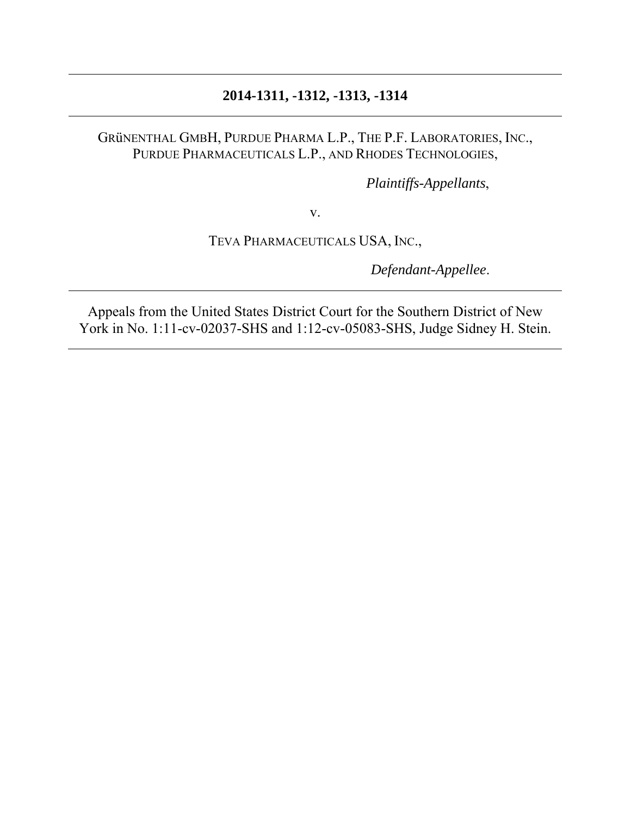# **2014-1311, -1312, -1313, -1314**

## GRüNENTHAL GMBH, PURDUE PHARMA L.P., THE P.F. LABORATORIES, INC., PURDUE PHARMACEUTICALS L.P., AND RHODES TECHNOLOGIES,

*Plaintiffs-Appellants*,

v.

TEVA PHARMACEUTICALS USA, INC.,

*Defendant-Appellee*.

Appeals from the United States District Court for the Southern District of New York in No. 1:11-cv-02037-SHS and 1:12-cv-05083-SHS, Judge Sidney H. Stein.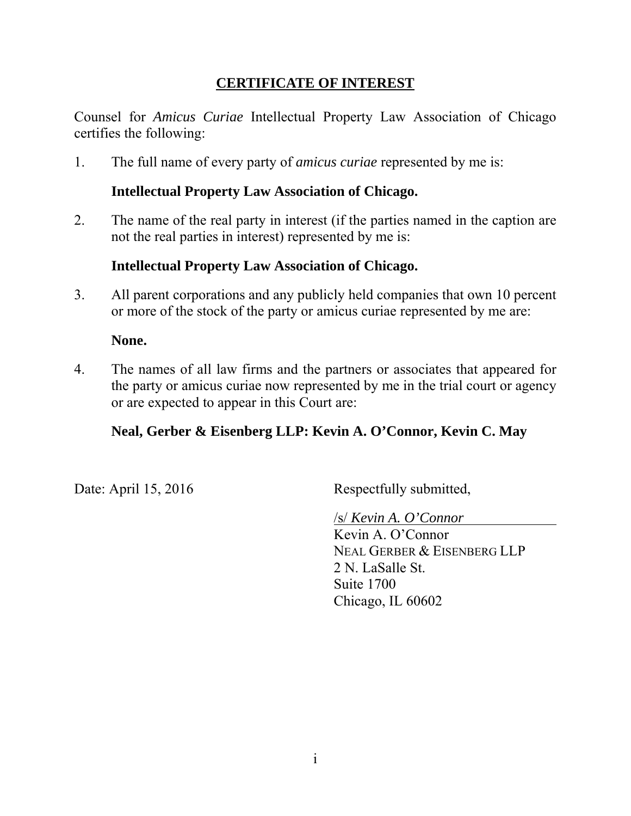# **CERTIFICATE OF INTEREST**

Counsel for *Amicus Curiae* Intellectual Property Law Association of Chicago certifies the following:

1. The full name of every party of *amicus curiae* represented by me is:

# **Intellectual Property Law Association of Chicago.**

2. The name of the real party in interest (if the parties named in the caption are not the real parties in interest) represented by me is:

# **Intellectual Property Law Association of Chicago.**

3. All parent corporations and any publicly held companies that own 10 percent or more of the stock of the party or amicus curiae represented by me are:

### **None.**

4. The names of all law firms and the partners or associates that appeared for the party or amicus curiae now represented by me in the trial court or agency or are expected to appear in this Court are:

# **Neal, Gerber & Eisenberg LLP: Kevin A. O'Connor, Kevin C. May**

Date: April 15, 2016 Respectfully submitted,

/s/ *Kevin A. O'Connor*

Kevin A. O'Connor NEAL GERBER & EISENBERG LLP 2 N. LaSalle St. Suite 1700 Chicago, IL 60602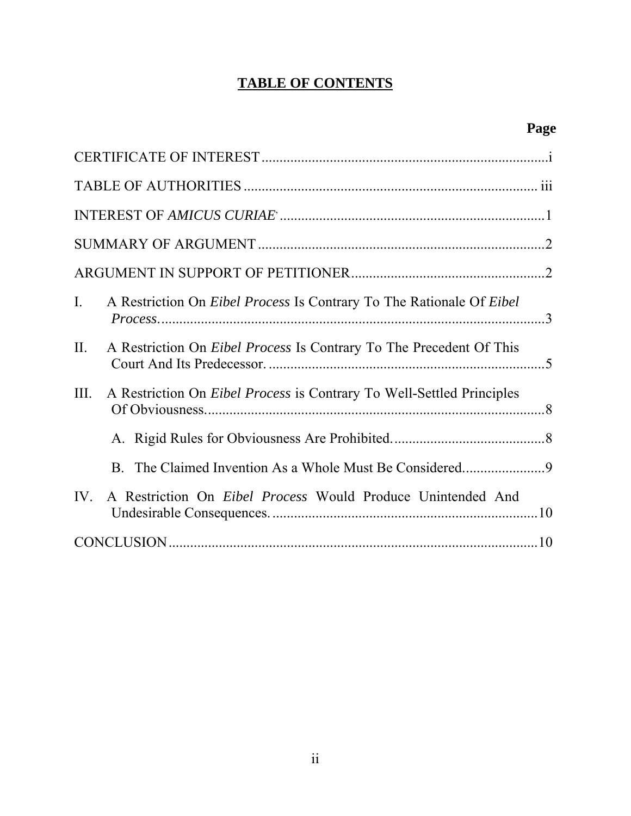# **TABLE OF CONTENTS**

| $\mathbf{I}$ .<br>A Restriction On <i>Eibel Process</i> Is Contrary To The Rationale Of <i>Eibel</i> |  |
|------------------------------------------------------------------------------------------------------|--|
| II.<br>A Restriction On <i>Eibel Process</i> Is Contrary To The Precedent Of This                    |  |
| III.<br>A Restriction On <i>Eibel Process</i> is Contrary To Well-Settled Principles                 |  |
|                                                                                                      |  |
|                                                                                                      |  |
| A Restriction On <i>Eibel Process</i> Would Produce Unintended And<br>$IV_{-}$                       |  |
|                                                                                                      |  |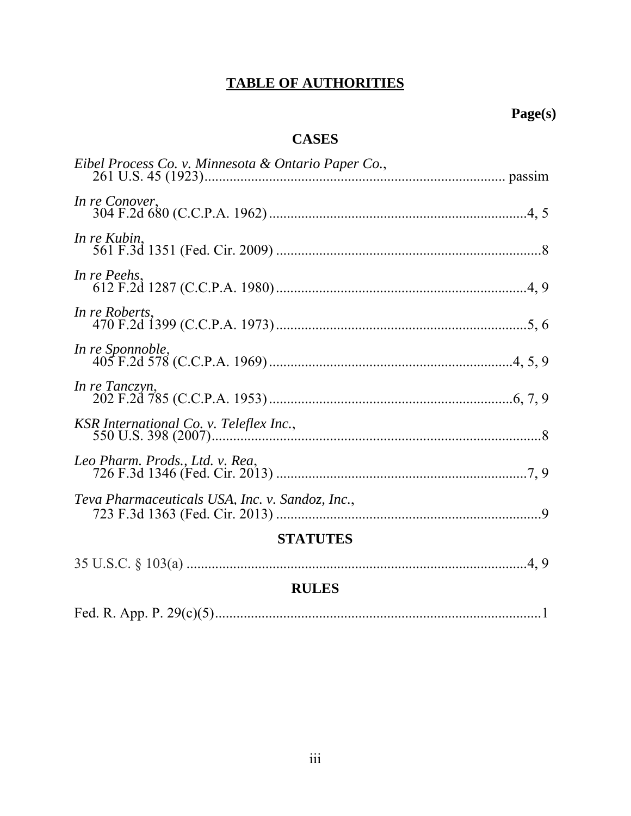# **TABLE OF AUTHORITIES**

# **Page(s)**

# **CASES**

| Eibel Process Co. v. Minnesota & Ontario Paper Co., |                |
|-----------------------------------------------------|----------------|
| In re Conover,                                      |                |
| In re Kubin.                                        |                |
| In re Peehs,                                        |                |
| In re Roberts,                                      |                |
| In re Sponnoble,                                    |                |
| In re Tanczyn,                                      |                |
| KSR International Co. v. Teleflex Inc.,             |                |
|                                                     |                |
| Teva Pharmaceuticals USA, Inc. v. Sandoz, Inc.,     |                |
| <b>STATUTES</b>                                     |                |
| 25170000102                                         | $\overline{1}$ |

| <b>DITT DA</b> |  |
|----------------|--|

### **RULES**

|--|--|--|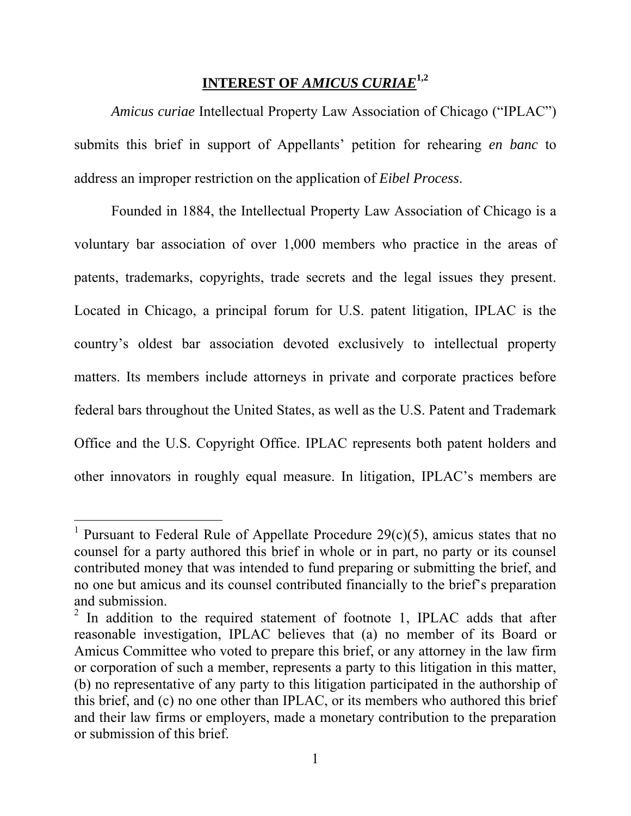# **INTEREST OF** *AMICUS CURIAE***1,2**

*Amicus curiae* Intellectual Property Law Association of Chicago ("IPLAC") submits this brief in support of Appellants' petition for rehearing *en banc* to address an improper restriction on the application of *Eibel Process*.

Founded in 1884, the Intellectual Property Law Association of Chicago is a voluntary bar association of over 1,000 members who practice in the areas of patents, trademarks, copyrights, trade secrets and the legal issues they present. Located in Chicago, a principal forum for U.S. patent litigation, IPLAC is the country's oldest bar association devoted exclusively to intellectual property matters. Its members include attorneys in private and corporate practices before federal bars throughout the United States, as well as the U.S. Patent and Trademark Office and the U.S. Copyright Office. IPLAC represents both patent holders and other innovators in roughly equal measure. In litigation, IPLAC's members are

 $\overline{a}$ 

<sup>&</sup>lt;sup>1</sup> Pursuant to Federal Rule of Appellate Procedure 29(c)(5), amicus states that no counsel for a party authored this brief in whole or in part, no party or its counsel contributed money that was intended to fund preparing or submitting the brief, and no one but amicus and its counsel contributed financially to the brief's preparation and submission.

 $2$  In addition to the required statement of footnote 1, IPLAC adds that after reasonable investigation, IPLAC believes that (a) no member of its Board or Amicus Committee who voted to prepare this brief, or any attorney in the law firm or corporation of such a member, represents a party to this litigation in this matter, (b) no representative of any party to this litigation participated in the authorship of this brief, and (c) no one other than IPLAC, or its members who authored this brief and their law firms or employers, made a monetary contribution to the preparation or submission of this brief.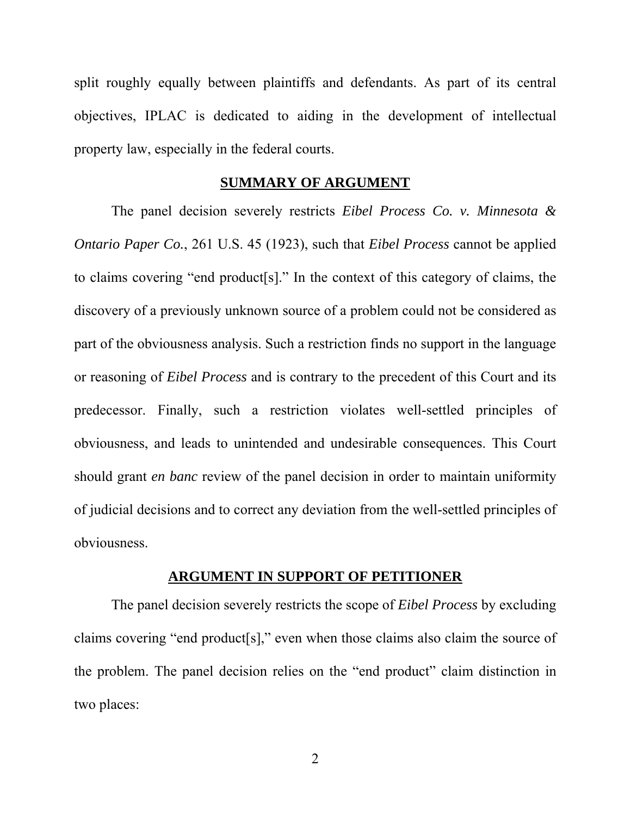split roughly equally between plaintiffs and defendants. As part of its central objectives, IPLAC is dedicated to aiding in the development of intellectual property law, especially in the federal courts.

### **SUMMARY OF ARGUMENT**

The panel decision severely restricts *Eibel Process Co. v. Minnesota & Ontario Paper Co.*, 261 U.S. 45 (1923), such that *Eibel Process* cannot be applied to claims covering "end product[s]." In the context of this category of claims, the discovery of a previously unknown source of a problem could not be considered as part of the obviousness analysis. Such a restriction finds no support in the language or reasoning of *Eibel Process* and is contrary to the precedent of this Court and its predecessor. Finally, such a restriction violates well-settled principles of obviousness, and leads to unintended and undesirable consequences. This Court should grant *en banc* review of the panel decision in order to maintain uniformity of judicial decisions and to correct any deviation from the well-settled principles of obviousness.

#### **ARGUMENT IN SUPPORT OF PETITIONER**

The panel decision severely restricts the scope of *Eibel Process* by excluding claims covering "end product[s]," even when those claims also claim the source of the problem. The panel decision relies on the "end product" claim distinction in two places:

2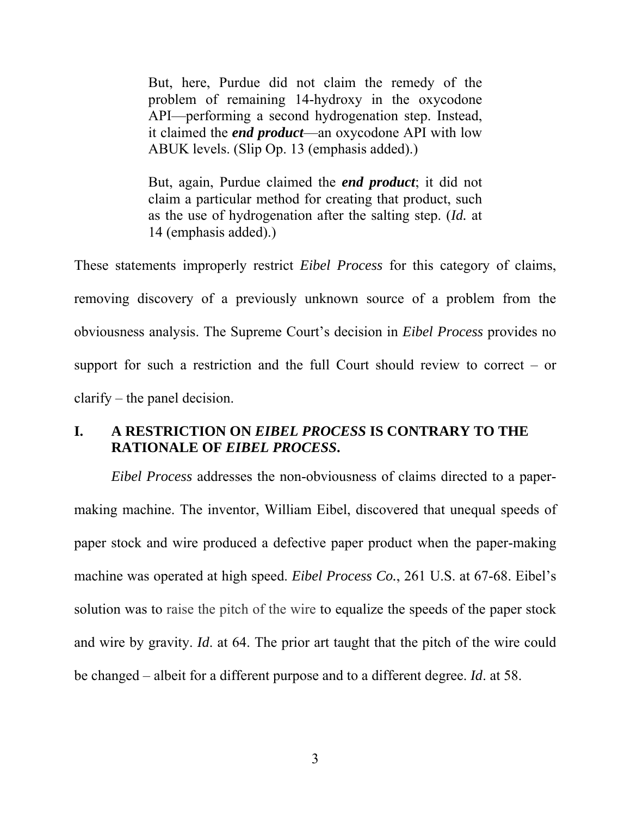But, here, Purdue did not claim the remedy of the problem of remaining 14-hydroxy in the oxycodone API—performing a second hydrogenation step. Instead, it claimed the *end product*—an oxycodone API with low ABUK levels. (Slip Op. 13 (emphasis added).)

But, again, Purdue claimed the *end product*; it did not claim a particular method for creating that product, such as the use of hydrogenation after the salting step. (*Id.* at 14 (emphasis added).)

These statements improperly restrict *Eibel Process* for this category of claims, removing discovery of a previously unknown source of a problem from the obviousness analysis. The Supreme Court's decision in *Eibel Process* provides no support for such a restriction and the full Court should review to correct – or clarify – the panel decision.

# **I. A RESTRICTION ON** *EIBEL PROCESS* **IS CONTRARY TO THE RATIONALE OF** *EIBEL PROCESS***.**

*Eibel Process* addresses the non-obviousness of claims directed to a papermaking machine. The inventor, William Eibel, discovered that unequal speeds of paper stock and wire produced a defective paper product when the paper-making machine was operated at high speed. *Eibel Process Co.*, 261 U.S. at 67-68. Eibel's solution was to raise the pitch of the wire to equalize the speeds of the paper stock and wire by gravity. *Id*. at 64. The prior art taught that the pitch of the wire could be changed – albeit for a different purpose and to a different degree. *Id*. at 58.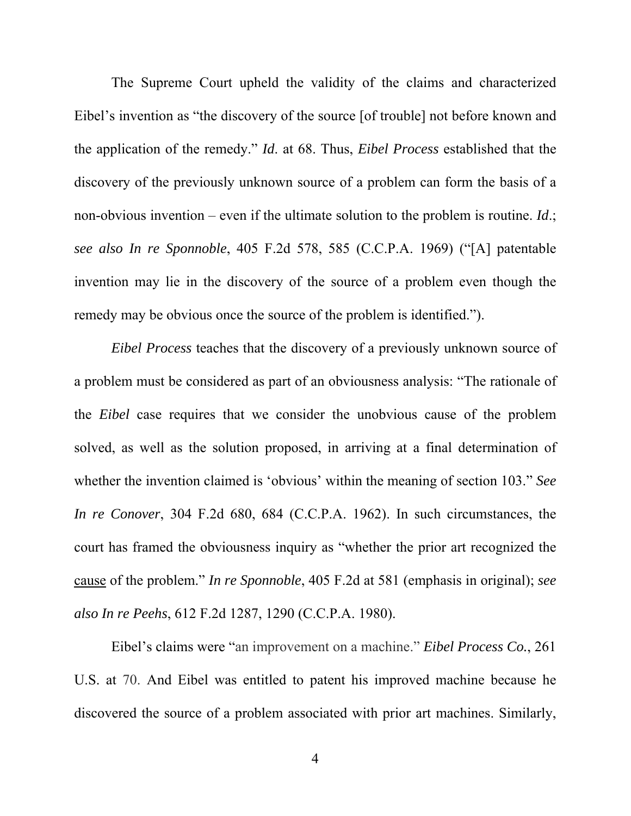The Supreme Court upheld the validity of the claims and characterized Eibel's invention as "the discovery of the source [of trouble] not before known and the application of the remedy." *Id*. at 68. Thus, *Eibel Process* established that the discovery of the previously unknown source of a problem can form the basis of a non-obvious invention – even if the ultimate solution to the problem is routine. *Id*.; *see also In re Sponnoble*, 405 F.2d 578, 585 (C.C.P.A. 1969) ("[A] patentable invention may lie in the discovery of the source of a problem even though the remedy may be obvious once the source of the problem is identified.").

*Eibel Process* teaches that the discovery of a previously unknown source of a problem must be considered as part of an obviousness analysis: "The rationale of the *Eibel* case requires that we consider the unobvious cause of the problem solved, as well as the solution proposed, in arriving at a final determination of whether the invention claimed is 'obvious' within the meaning of section 103." *See In re Conover*, 304 F.2d 680, 684 (C.C.P.A. 1962). In such circumstances, the court has framed the obviousness inquiry as "whether the prior art recognized the cause of the problem." *In re Sponnoble*, 405 F.2d at 581 (emphasis in original); *see also In re Peehs*, 612 F.2d 1287, 1290 (C.C.P.A. 1980).

Eibel's claims were "an improvement on a machine." *Eibel Process Co.*, 261 U.S. at 70. And Eibel was entitled to patent his improved machine because he discovered the source of a problem associated with prior art machines. Similarly,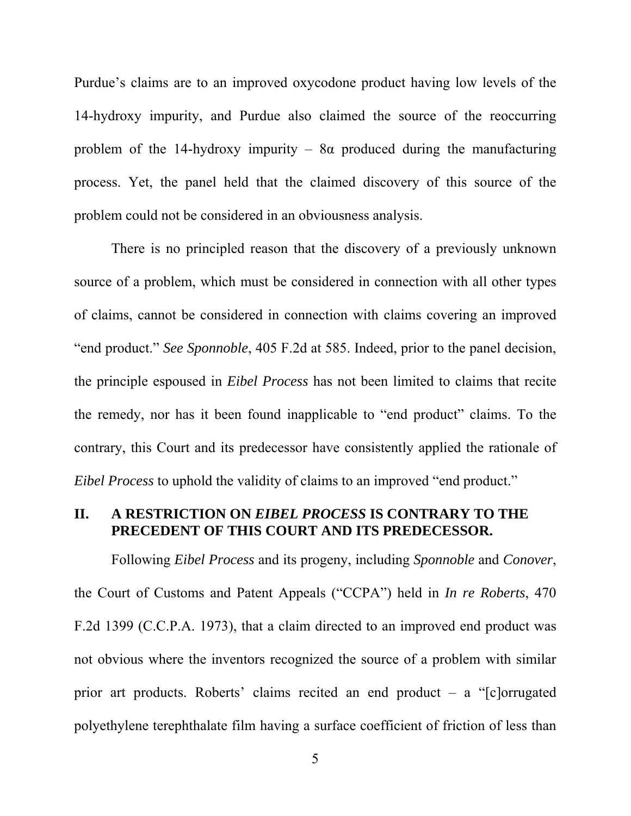Purdue's claims are to an improved oxycodone product having low levels of the 14-hydroxy impurity, and Purdue also claimed the source of the reoccurring problem of the 14-hydroxy impurity –  $8\alpha$  produced during the manufacturing process. Yet, the panel held that the claimed discovery of this source of the problem could not be considered in an obviousness analysis.

There is no principled reason that the discovery of a previously unknown source of a problem, which must be considered in connection with all other types of claims, cannot be considered in connection with claims covering an improved "end product." *See Sponnoble*, 405 F.2d at 585. Indeed, prior to the panel decision, the principle espoused in *Eibel Process* has not been limited to claims that recite the remedy, nor has it been found inapplicable to "end product" claims. To the contrary, this Court and its predecessor have consistently applied the rationale of *Eibel Process* to uphold the validity of claims to an improved "end product."

### **II. A RESTRICTION ON** *EIBEL PROCESS* **IS CONTRARY TO THE PRECEDENT OF THIS COURT AND ITS PREDECESSOR.**

Following *Eibel Process* and its progeny, including *Sponnoble* and *Conover*, the Court of Customs and Patent Appeals ("CCPA") held in *In re Roberts*, 470 F.2d 1399 (C.C.P.A. 1973), that a claim directed to an improved end product was not obvious where the inventors recognized the source of a problem with similar prior art products. Roberts' claims recited an end product – a "[c]orrugated polyethylene terephthalate film having a surface coefficient of friction of less than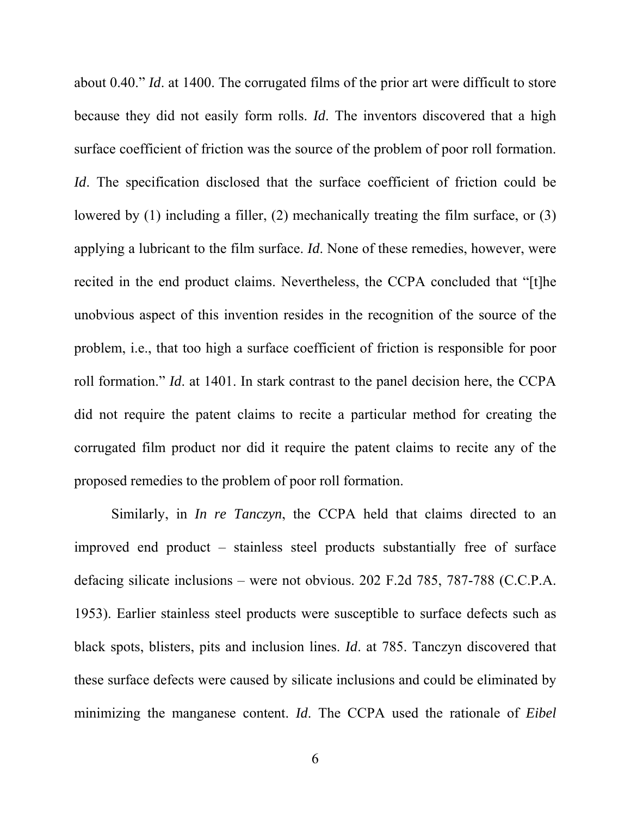about 0.40." *Id*. at 1400. The corrugated films of the prior art were difficult to store because they did not easily form rolls. *Id*. The inventors discovered that a high surface coefficient of friction was the source of the problem of poor roll formation. *Id*. The specification disclosed that the surface coefficient of friction could be lowered by (1) including a filler, (2) mechanically treating the film surface, or (3) applying a lubricant to the film surface. *Id*. None of these remedies, however, were recited in the end product claims. Nevertheless, the CCPA concluded that "[t]he unobvious aspect of this invention resides in the recognition of the source of the problem, i.e., that too high a surface coefficient of friction is responsible for poor roll formation." *Id*. at 1401. In stark contrast to the panel decision here, the CCPA did not require the patent claims to recite a particular method for creating the corrugated film product nor did it require the patent claims to recite any of the proposed remedies to the problem of poor roll formation.

Similarly, in *In re Tanczyn*, the CCPA held that claims directed to an improved end product – stainless steel products substantially free of surface defacing silicate inclusions – were not obvious. 202 F.2d 785, 787-788 (C.C.P.A. 1953). Earlier stainless steel products were susceptible to surface defects such as black spots, blisters, pits and inclusion lines. *Id*. at 785. Tanczyn discovered that these surface defects were caused by silicate inclusions and could be eliminated by minimizing the manganese content. *Id*. The CCPA used the rationale of *Eibel*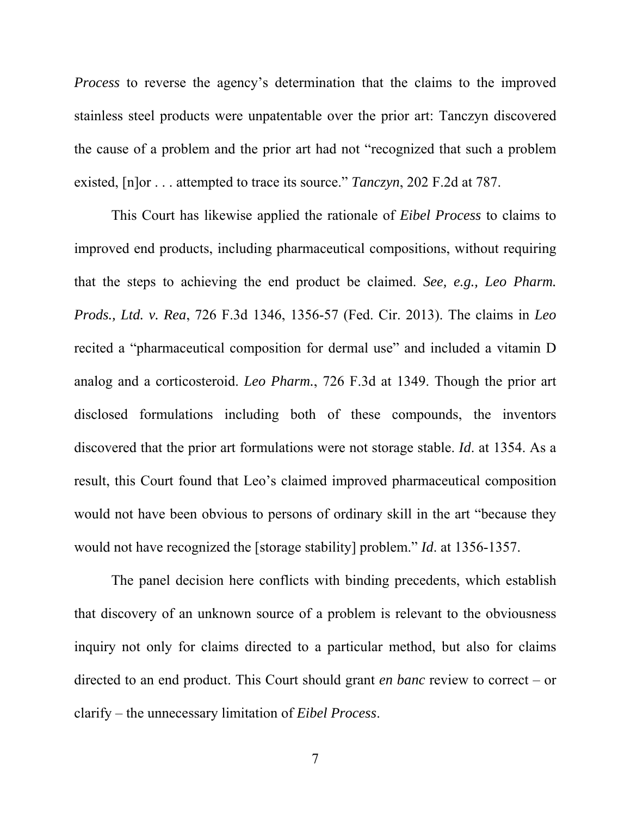*Process* to reverse the agency's determination that the claims to the improved stainless steel products were unpatentable over the prior art: Tanczyn discovered the cause of a problem and the prior art had not "recognized that such a problem existed, [n]or . . . attempted to trace its source." *Tanczyn*, 202 F.2d at 787.

This Court has likewise applied the rationale of *Eibel Process* to claims to improved end products, including pharmaceutical compositions, without requiring that the steps to achieving the end product be claimed. *See, e.g., Leo Pharm. Prods., Ltd. v. Rea*, 726 F.3d 1346, 1356-57 (Fed. Cir. 2013). The claims in *Leo* recited a "pharmaceutical composition for dermal use" and included a vitamin D analog and a corticosteroid. *Leo Pharm.*, 726 F.3d at 1349. Though the prior art disclosed formulations including both of these compounds, the inventors discovered that the prior art formulations were not storage stable. *Id*. at 1354. As a result, this Court found that Leo's claimed improved pharmaceutical composition would not have been obvious to persons of ordinary skill in the art "because they would not have recognized the [storage stability] problem." *Id*. at 1356-1357.

The panel decision here conflicts with binding precedents, which establish that discovery of an unknown source of a problem is relevant to the obviousness inquiry not only for claims directed to a particular method, but also for claims directed to an end product. This Court should grant *en banc* review to correct – or clarify – the unnecessary limitation of *Eibel Process*.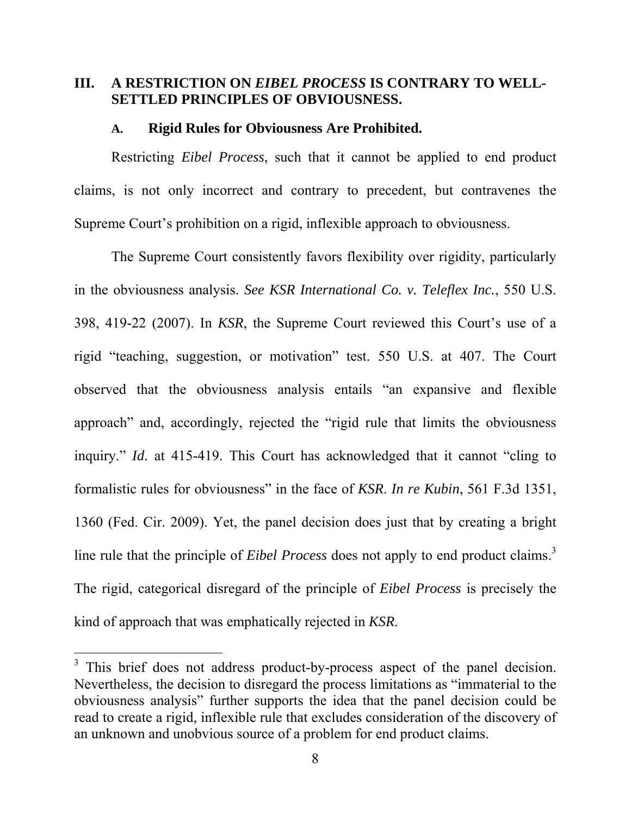### III. A RESTRICTION ON *EIBEL PROCESS* IS CONTRARY TO WELL-**SETTLED PRINCIPLES OF OBVIOUSNESS.**

### **A. Rigid Rules for Obviousness Are Prohibited.**

Restricting *Eibel Process*, such that it cannot be applied to end product claims, is not only incorrect and contrary to precedent, but contravenes the Supreme Court's prohibition on a rigid, inflexible approach to obviousness.

The Supreme Court consistently favors flexibility over rigidity, particularly in the obviousness analysis. *See KSR International Co. v. Teleflex Inc.*, 550 U.S. 398, 419-22 (2007). In *KSR*, the Supreme Court reviewed this Court's use of a rigid "teaching, suggestion, or motivation" test. 550 U.S. at 407. The Court observed that the obviousness analysis entails "an expansive and flexible approach" and, accordingly, rejected the "rigid rule that limits the obviousness inquiry." *Id*. at 415-419. This Court has acknowledged that it cannot "cling to formalistic rules for obviousness" in the face of *KSR*. *In re Kubin*, 561 F.3d 1351, 1360 (Fed. Cir. 2009). Yet, the panel decision does just that by creating a bright line rule that the principle of *Eibel Process* does not apply to end product claims.<sup>3</sup> The rigid, categorical disregard of the principle of *Eibel Process* is precisely the kind of approach that was emphatically rejected in *KSR*.

 $\overline{a}$ 

 $3$  This brief does not address product-by-process aspect of the panel decision. Nevertheless, the decision to disregard the process limitations as "immaterial to the obviousness analysis" further supports the idea that the panel decision could be read to create a rigid, inflexible rule that excludes consideration of the discovery of an unknown and unobvious source of a problem for end product claims.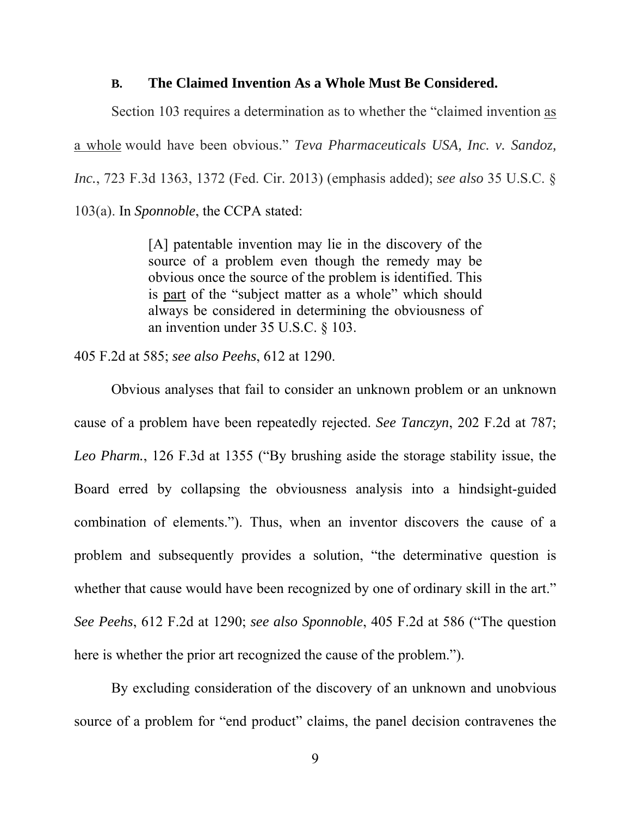### **B. The Claimed Invention As a Whole Must Be Considered.**

Section 103 requires a determination as to whether the "claimed invention as a whole would have been obvious." *Teva Pharmaceuticals USA, Inc. v. Sandoz, Inc.*, 723 F.3d 1363, 1372 (Fed. Cir. 2013) (emphasis added); *see also* 35 U.S.C. § 103(a). In *Sponnoble*, the CCPA stated:

> [A] patentable invention may lie in the discovery of the source of a problem even though the remedy may be obvious once the source of the problem is identified. This is part of the "subject matter as a whole" which should always be considered in determining the obviousness of an invention under 35 U.S.C. § 103.

405 F.2d at 585; *see also Peehs*, 612 at 1290.

Obvious analyses that fail to consider an unknown problem or an unknown cause of a problem have been repeatedly rejected. *See Tanczyn*, 202 F.2d at 787; *Leo Pharm.*, 126 F.3d at 1355 ("By brushing aside the storage stability issue, the Board erred by collapsing the obviousness analysis into a hindsight-guided combination of elements."). Thus, when an inventor discovers the cause of a problem and subsequently provides a solution, "the determinative question is whether that cause would have been recognized by one of ordinary skill in the art." *See Peehs*, 612 F.2d at 1290; *see also Sponnoble*, 405 F.2d at 586 ("The question here is whether the prior art recognized the cause of the problem.").

By excluding consideration of the discovery of an unknown and unobvious source of a problem for "end product" claims, the panel decision contravenes the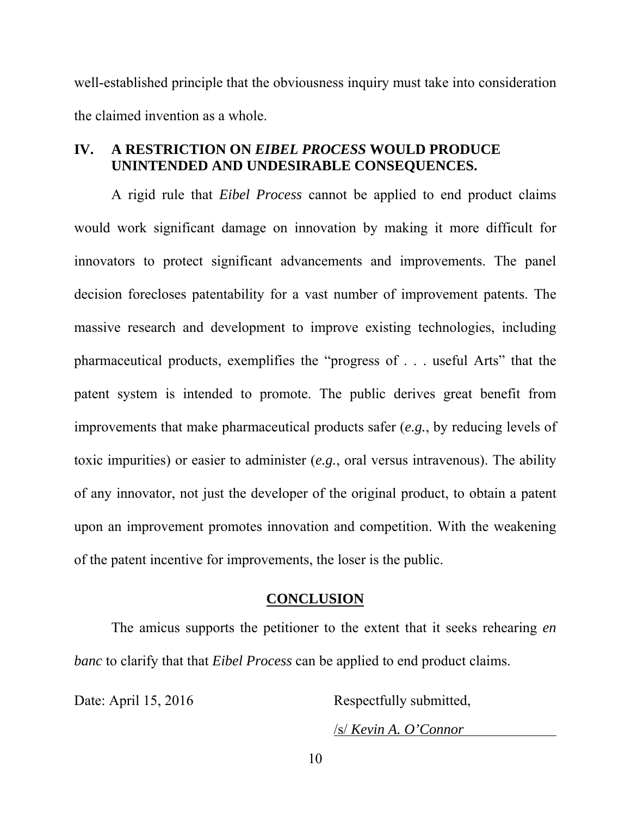well-established principle that the obviousness inquiry must take into consideration the claimed invention as a whole.

### **IV. A RESTRICTION ON** *EIBEL PROCESS* **WOULD PRODUCE UNINTENDED AND UNDESIRABLE CONSEQUENCES.**

A rigid rule that *Eibel Process* cannot be applied to end product claims would work significant damage on innovation by making it more difficult for innovators to protect significant advancements and improvements. The panel decision forecloses patentability for a vast number of improvement patents. The massive research and development to improve existing technologies, including pharmaceutical products, exemplifies the "progress of . . . useful Arts" that the patent system is intended to promote. The public derives great benefit from improvements that make pharmaceutical products safer (*e.g.*, by reducing levels of toxic impurities) or easier to administer (*e.g.*, oral versus intravenous). The ability of any innovator, not just the developer of the original product, to obtain a patent upon an improvement promotes innovation and competition. With the weakening of the patent incentive for improvements, the loser is the public.

#### **CONCLUSION**

The amicus supports the petitioner to the extent that it seeks rehearing *en banc* to clarify that that *Eibel Process* can be applied to end product claims.

Date: April 15, 2016 Respectfully submitted,

/s/ *Kevin A. O'Connor*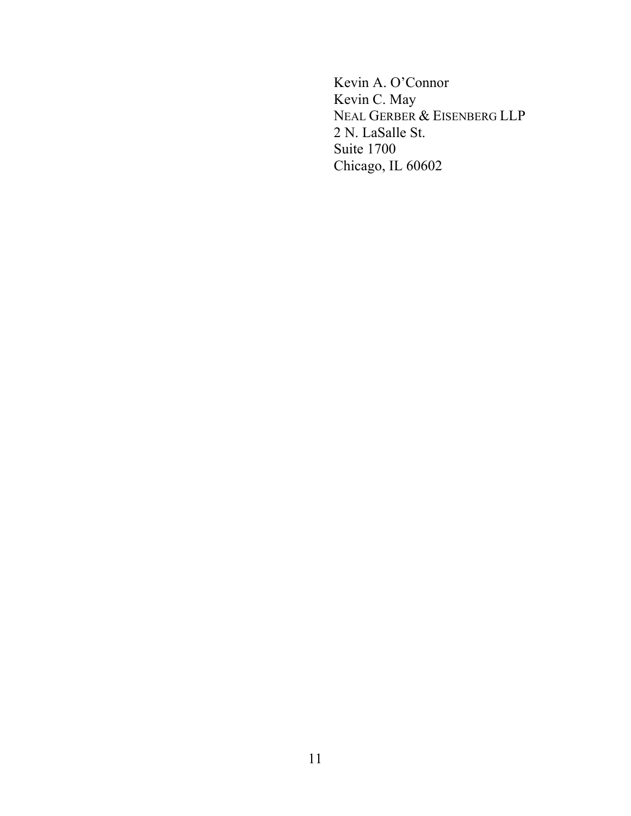Kevin A. O'Connor Kevin C. May NEAL GERBER & EISENBERG LLP 2 N. LaSalle St. Suite 1700 Chicago, IL 60602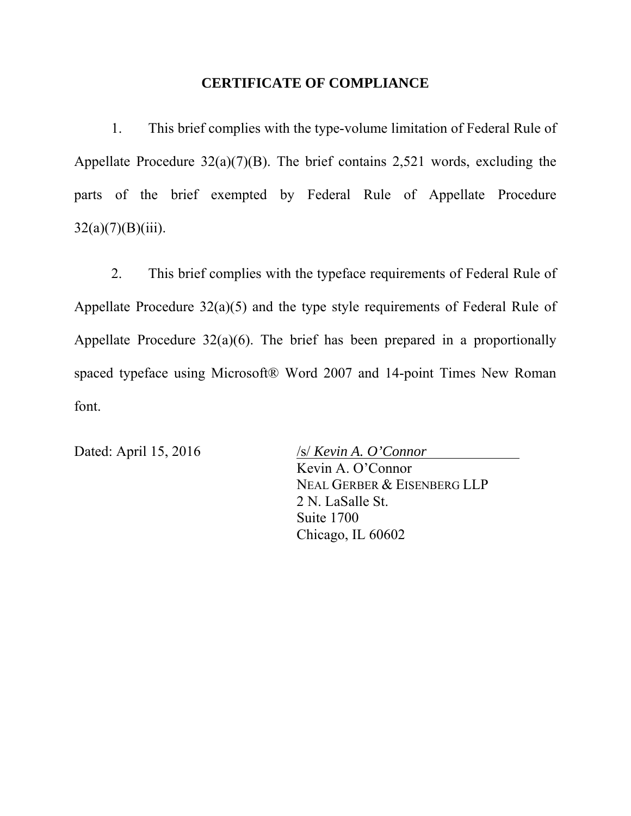### **CERTIFICATE OF COMPLIANCE**

1. This brief complies with the type-volume limitation of Federal Rule of Appellate Procedure  $32(a)(7)(B)$ . The brief contains 2,521 words, excluding the parts of the brief exempted by Federal Rule of Appellate Procedure  $32(a)(7)(B)(iii)$ .

2. This brief complies with the typeface requirements of Federal Rule of Appellate Procedure 32(a)(5) and the type style requirements of Federal Rule of Appellate Procedure  $32(a)(6)$ . The brief has been prepared in a proportionally spaced typeface using Microsoft® Word 2007 and 14-point Times New Roman font.

Dated: April 15, 2016 */s/ <i>Kevin A. O'Connor* Kevin A. O'Connor NEAL GERBER & EISENBERG LLP 2 N. LaSalle St. Suite 1700 Chicago, IL 60602